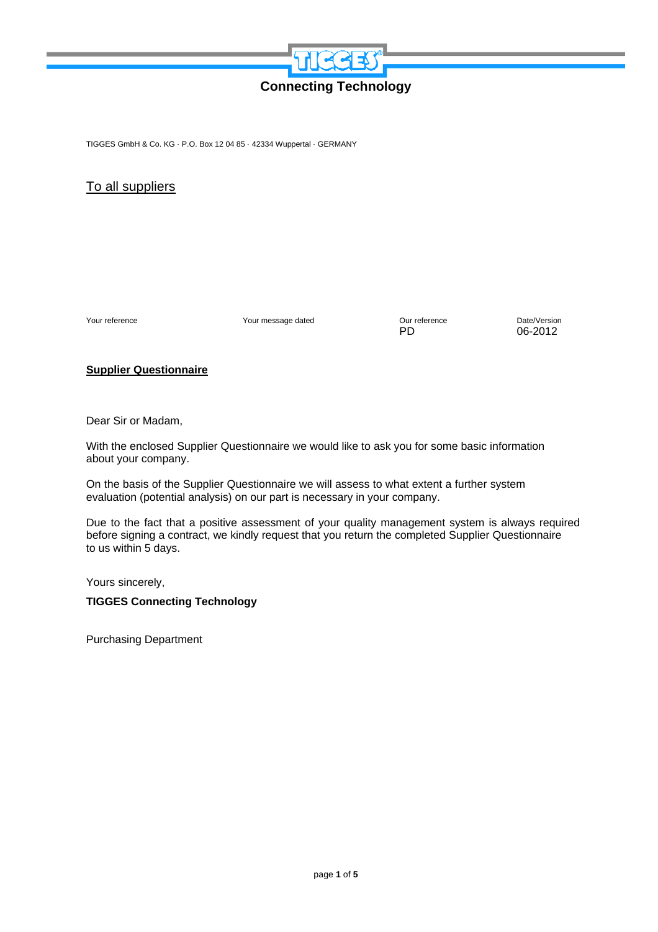

TIGGES GmbH & Co. KG · P.O. Box 12 04 85 · 42334 Wuppertal · GERMANY

To all suppliers

Your reference **The Cour Search Cour message dated** Curreference **Cour reference** Date/Version

PD 06-2012

### **Supplier Questionnaire**

Dear Sir or Madam,

With the enclosed Supplier Questionnaire we would like to ask you for some basic information about your company.

On the basis of the Supplier Questionnaire we will assess to what extent a further system evaluation (potential analysis) on our part is necessary in your company.

Due to the fact that a positive assessment of your quality management system is always required before signing a contract, we kindly request that you return the completed Supplier Questionnaire to us within 5 days.

Yours sincerely,

### **TIGGES Connecting Technology**

Purchasing Department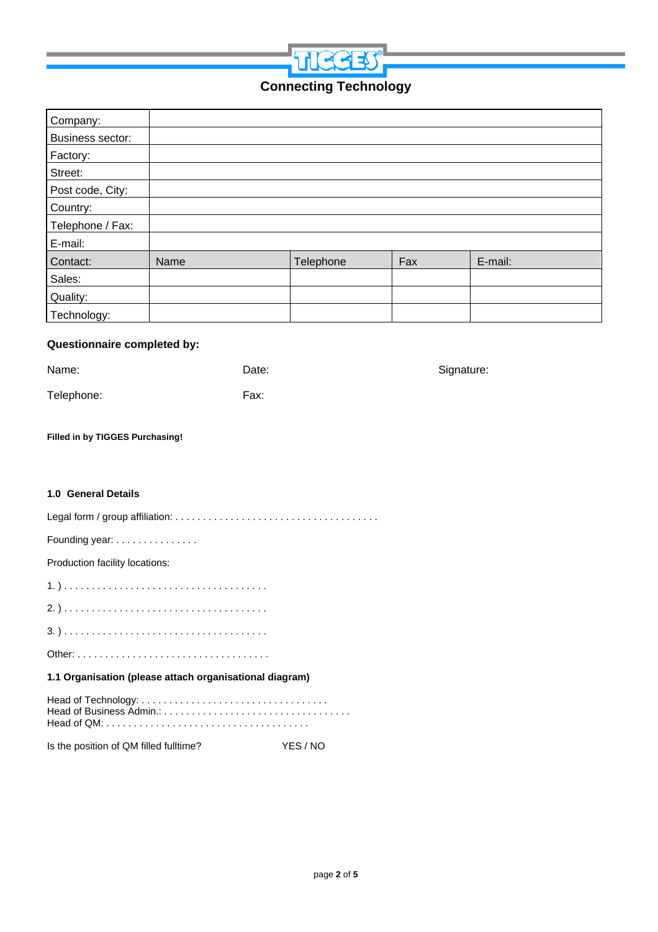

| Company:                                             |      |           |     |         |
|------------------------------------------------------|------|-----------|-----|---------|
| Business sector:                                     |      |           |     |         |
| Factory:                                             |      |           |     |         |
| Street:                                              |      |           |     |         |
| Post code, City:                                     |      |           |     |         |
| Country:                                             |      |           |     |         |
| Telephone / Fax:                                     |      |           |     |         |
| E-mail:                                              |      |           |     |         |
| Contact:                                             | Name | Telephone | Fax | E-mail: |
| Sales:                                               |      |           |     |         |
| Quality:                                             |      |           |     |         |
| Technology:                                          |      |           |     |         |
| Outside the property of the second standard state of |      |           |     |         |

### **Questionnaire completed by:**

| Name:      | Date: | Signature: |
|------------|-------|------------|
| Telephone: | Fax:  |            |

**Filled in by TIGGES Purchasing!** 

### **1.0 General Details**

| Founding year:                                          |  |  |  |
|---------------------------------------------------------|--|--|--|
| Production facility locations:                          |  |  |  |
|                                                         |  |  |  |
|                                                         |  |  |  |
|                                                         |  |  |  |
|                                                         |  |  |  |
| 1.1 Organisation (please attach organisational diagram) |  |  |  |
|                                                         |  |  |  |
| YES / NO<br>Is the position of QM filled fulltime?      |  |  |  |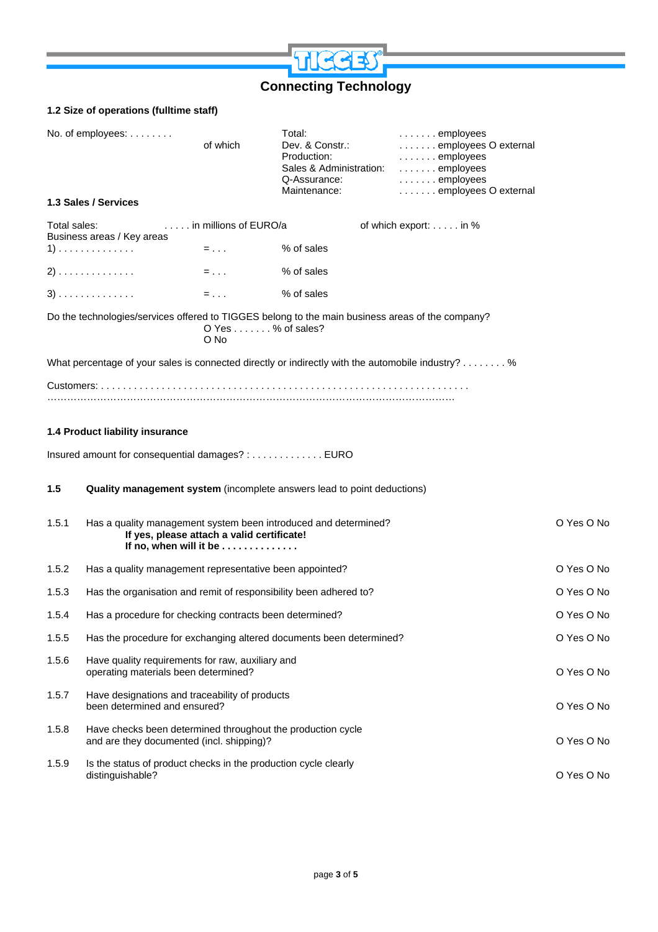

|              | 1.2 Size of operations (fulltime staff)                                                                  |                                                                                                                                          |                                                                                                                       |                                                                                                     |            |
|--------------|----------------------------------------------------------------------------------------------------------|------------------------------------------------------------------------------------------------------------------------------------------|-----------------------------------------------------------------------------------------------------------------------|-----------------------------------------------------------------------------------------------------|------------|
|              | No. of employees:                                                                                        | of which                                                                                                                                 | Total:<br>Dev. & Constr.:<br>Production:<br>Sales & Administration:  employees<br>Q-Assurance:<br>Maintenance:        | employees<br>employees O external<br>employees<br>$\ldots \ldots$ employees<br>employees O external |            |
|              | 1.3 Sales / Services                                                                                     |                                                                                                                                          |                                                                                                                       |                                                                                                     |            |
| Total sales: | Business areas / Key areas                                                                               | in millions of EURO/a                                                                                                                    |                                                                                                                       | of which export: in %                                                                               |            |
|              | $1)$                                                                                                     |                                                                                                                                          | % of sales                                                                                                            |                                                                                                     |            |
|              | $2)$                                                                                                     | $\mathbf{r} = \mathbf{r} \cdot \mathbf{r}$ and $\mathbf{r} = \mathbf{r} \cdot \mathbf{r}$ and $\mathbf{r} = \mathbf{r} \cdot \mathbf{r}$ | % of sales                                                                                                            |                                                                                                     |            |
|              | $3)$                                                                                                     | $\mathcal{L}(\mathcal{L}(\mathcal{L})) = \mathcal{L}(\mathcal{L}(\mathcal{L})) \otimes \mathcal{L}(\mathcal{L}(\mathcal{L}))$            | % of sales                                                                                                            |                                                                                                     |            |
|              |                                                                                                          | O No                                                                                                                                     | Do the technologies/services offered to TIGGES belong to the main business areas of the company?<br>O Yes % of sales? |                                                                                                     |            |
|              |                                                                                                          |                                                                                                                                          | What percentage of your sales is connected directly or indirectly with the automobile industry? %                     |                                                                                                     |            |
|              |                                                                                                          |                                                                                                                                          |                                                                                                                       |                                                                                                     |            |
|              |                                                                                                          |                                                                                                                                          |                                                                                                                       |                                                                                                     |            |
|              | 1.4 Product liability insurance                                                                          |                                                                                                                                          |                                                                                                                       |                                                                                                     |            |
|              | Insured amount for consequential damages? : EURO                                                         |                                                                                                                                          |                                                                                                                       |                                                                                                     |            |
| 1.5          |                                                                                                          |                                                                                                                                          | Quality management system (incomplete answers lead to point deductions)                                               |                                                                                                     |            |
| 1.5.1        |                                                                                                          | If yes, please attach a valid certificate!<br>If no, when will it be                                                                     | Has a quality management system been introduced and determined?                                                       |                                                                                                     | O Yes O No |
| 1.5.2        | Has a quality management representative been appointed?                                                  |                                                                                                                                          |                                                                                                                       |                                                                                                     | O Yes O No |
| 1.5.3        | Has the organisation and remit of responsibility been adhered to?                                        |                                                                                                                                          |                                                                                                                       |                                                                                                     | O Yes O No |
| 1.5.4        | Has a procedure for checking contracts been determined?                                                  |                                                                                                                                          |                                                                                                                       |                                                                                                     | O Yes O No |
| 1.5.5        | Has the procedure for exchanging altered documents been determined?                                      |                                                                                                                                          |                                                                                                                       |                                                                                                     | O Yes O No |
| 1.5.6        | Have quality requirements for raw, auxiliary and<br>operating materials been determined?                 |                                                                                                                                          |                                                                                                                       |                                                                                                     | O Yes O No |
| 1.5.7        | Have designations and traceability of products<br>been determined and ensured?                           |                                                                                                                                          |                                                                                                                       |                                                                                                     | O Yes O No |
| 1.5.8        | Have checks been determined throughout the production cycle<br>and are they documented (incl. shipping)? |                                                                                                                                          |                                                                                                                       | O Yes O No                                                                                          |            |
| 1.5.9        | Is the status of product checks in the production cycle clearly<br>distinguishable?                      |                                                                                                                                          |                                                                                                                       |                                                                                                     | O Yes O No |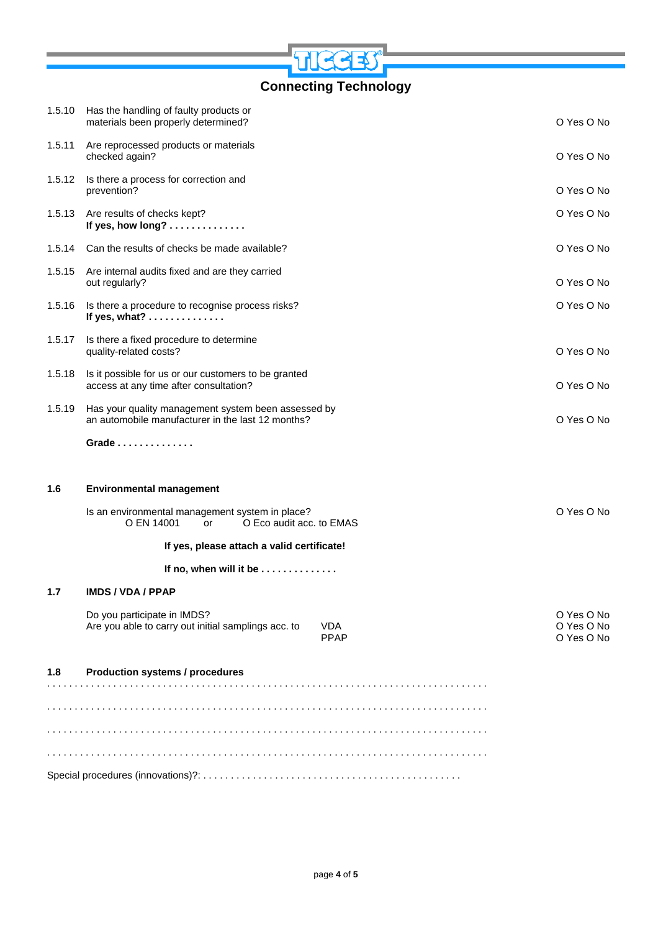

| 1.5.10 | Has the handling of faulty products or<br>materials been properly determined?                            |                    | O Yes O No                             |
|--------|----------------------------------------------------------------------------------------------------------|--------------------|----------------------------------------|
| 1.5.11 | Are reprocessed products or materials<br>checked again?                                                  | O Yes O No         |                                        |
| 1.5.12 | Is there a process for correction and<br>prevention?                                                     |                    | O Yes O No                             |
| 1.5.13 | Are results of checks kept?<br>If yes, how long?                                                         |                    | O Yes O No                             |
|        | 1.5.14 Can the results of checks be made available?                                                      |                    | O Yes O No                             |
|        | 1.5.15 Are internal audits fixed and are they carried<br>out regularly?                                  |                    | O Yes O No                             |
| 1.5.16 | Is there a procedure to recognise process risks?<br>If yes, what?                                        |                    | O Yes O No                             |
| 1.5.17 | Is there a fixed procedure to determine<br>quality-related costs?                                        |                    | O Yes O No                             |
| 1.5.18 | Is it possible for us or our customers to be granted<br>access at any time after consultation?           |                    | O Yes O No                             |
| 1.5.19 | Has your quality management system been assessed by<br>an automobile manufacturer in the last 12 months? |                    | O Yes O No                             |
|        | Grade $\ldots \ldots \ldots \ldots$                                                                      |                    |                                        |
| 1.6    | <b>Environmental management</b>                                                                          |                    |                                        |
|        | Is an environmental management system in place?<br>O Eco audit acc. to EMAS<br>O EN 14001<br>or          |                    | O Yes O No                             |
|        | If yes, please attach a valid certificate!                                                               |                    |                                        |
|        | If no, when will it be                                                                                   |                    |                                        |
| 1.7    | <b>IMDS / VDA / PPAP</b>                                                                                 |                    |                                        |
|        | Do you participate in IMDS?<br>Are you able to carry out initial samplings acc. to                       | VDA<br><b>PPAP</b> | O Yes O No<br>O Yes O No<br>O Yes O No |
| 1.8    | <b>Production systems / procedures</b>                                                                   |                    |                                        |
|        |                                                                                                          |                    |                                        |
|        |                                                                                                          |                    |                                        |
|        |                                                                                                          |                    |                                        |
|        |                                                                                                          |                    |                                        |